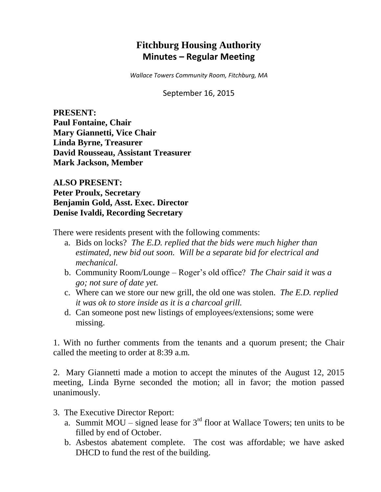# **Fitchburg Housing Authority Minutes – Regular Meeting**

*Wallace Towers Community Room, Fitchburg, MA*

September 16, 2015

**PRESENT: Paul Fontaine, Chair Mary Giannetti, Vice Chair Linda Byrne, Treasurer David Rousseau, Assistant Treasurer Mark Jackson, Member**

**ALSO PRESENT: Peter Proulx, Secretary Benjamin Gold, Asst. Exec. Director Denise Ivaldi, Recording Secretary**

There were residents present with the following comments:

- a. Bids on locks? *The E.D. replied that the bids were much higher than estimated, new bid out soon. Will be a separate bid for electrical and mechanical.*
- b. Community Room/Lounge Roger's old office? *The Chair said it was a go; not sure of date yet.*
- c. Where can we store our new grill, the old one was stolen. *The E.D. replied it was ok to store inside as it is a charcoal grill.*
- d. Can someone post new listings of employees/extensions; some were missing.

1. With no further comments from the tenants and a quorum present; the Chair called the meeting to order at 8:39 a.m.

2. Mary Giannetti made a motion to accept the minutes of the August 12, 2015 meeting, Linda Byrne seconded the motion; all in favor; the motion passed unanimously.

- 3. The Executive Director Report:
	- a. Summit MOU signed lease for  $3<sup>rd</sup>$  floor at Wallace Towers; ten units to be filled by end of October.
	- b. Asbestos abatement complete. The cost was affordable; we have asked DHCD to fund the rest of the building.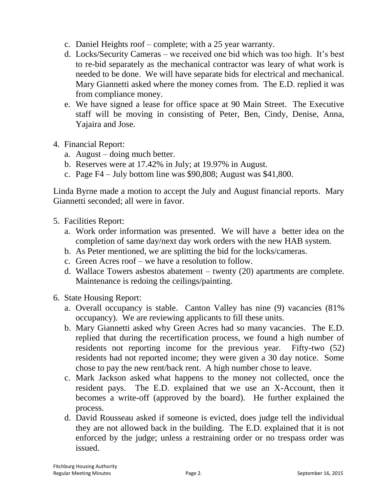- c. Daniel Heights roof complete; with a 25 year warranty.
- d. Locks/Security Cameras we received one bid which was too high. It's best to re-bid separately as the mechanical contractor was leary of what work is needed to be done. We will have separate bids for electrical and mechanical. Mary Giannetti asked where the money comes from. The E.D. replied it was from compliance money.
- e. We have signed a lease for office space at 90 Main Street. The Executive staff will be moving in consisting of Peter, Ben, Cindy, Denise, Anna, Yajaira and Jose.
- 4. Financial Report:
	- a. August doing much better.
	- b. Reserves were at 17.42% in July; at 19.97% in August.
	- c. Page F4 July bottom line was \$90,808; August was \$41,800.

Linda Byrne made a motion to accept the July and August financial reports. Mary Giannetti seconded; all were in favor.

- 5. Facilities Report:
	- a. Work order information was presented. We will have a better idea on the completion of same day/next day work orders with the new HAB system.
	- b. As Peter mentioned, we are splitting the bid for the locks/cameras.
	- c. Green Acres roof we have a resolution to follow.
	- d. Wallace Towers asbestos abatement twenty (20) apartments are complete. Maintenance is redoing the ceilings/painting.
- 6. State Housing Report:
	- a. Overall occupancy is stable. Canton Valley has nine (9) vacancies (81% occupancy). We are reviewing applicants to fill these units.
	- b. Mary Giannetti asked why Green Acres had so many vacancies. The E.D. replied that during the recertification process, we found a high number of residents not reporting income for the previous year. Fifty-two (52) residents had not reported income; they were given a 30 day notice. Some chose to pay the new rent/back rent. A high number chose to leave.
	- c. Mark Jackson asked what happens to the money not collected, once the resident pays. The E.D. explained that we use an X-Account, then it becomes a write-off (approved by the board). He further explained the process.
	- d. David Rousseau asked if someone is evicted, does judge tell the individual they are not allowed back in the building. The E.D. explained that it is not enforced by the judge; unless a restraining order or no trespass order was issued.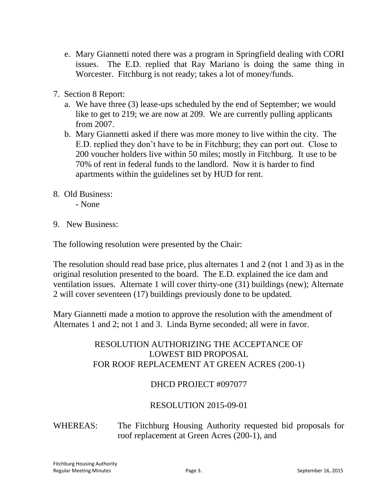- e. Mary Giannetti noted there was a program in Springfield dealing with CORI issues. The E.D. replied that Ray Mariano is doing the same thing in Worcester. Fitchburg is not ready; takes a lot of money/funds.
- 7. Section 8 Report:
	- a. We have three (3) lease-ups scheduled by the end of September; we would like to get to 219; we are now at 209. We are currently pulling applicants from 2007.
	- b. Mary Giannetti asked if there was more money to live within the city. The E.D. replied they don't have to be in Fitchburg; they can port out. Close to 200 voucher holders live within 50 miles; mostly in Fitchburg. It use to be 70% of rent in federal funds to the landlord. Now it is harder to find apartments within the guidelines set by HUD for rent.
- 8. Old Business:

- None

9. New Business:

The following resolution were presented by the Chair:

The resolution should read base price, plus alternates 1 and 2 (not 1 and 3) as in the original resolution presented to the board. The E.D. explained the ice dam and ventilation issues. Alternate 1 will cover thirty-one (31) buildings (new); Alternate 2 will cover seventeen (17) buildings previously done to be updated.

Mary Giannetti made a motion to approve the resolution with the amendment of Alternates 1 and 2; not 1 and 3. Linda Byrne seconded; all were in favor.

### RESOLUTION AUTHORIZING THE ACCEPTANCE OF LOWEST BID PROPOSAL FOR ROOF REPLACEMENT AT GREEN ACRES (200-1)

#### DHCD PROJECT #097077

#### RESOLUTION 2015-09-01

## WHEREAS: The Fitchburg Housing Authority requested bid proposals for roof replacement at Green Acres (200-1), and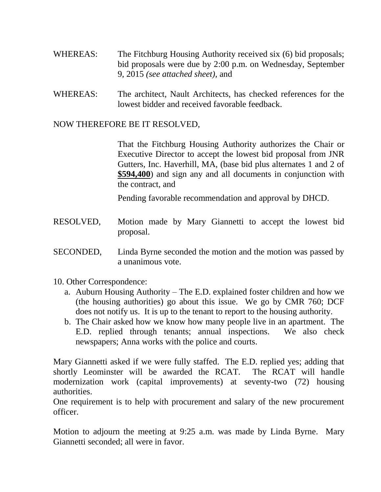- WHEREAS: The Fitchburg Housing Authority received six (6) bid proposals; bid proposals were due by 2:00 p.m. on Wednesday, September 9, 2015 *(see attached sheet),* and
- WHEREAS: The architect, Nault Architects, has checked references for the lowest bidder and received favorable feedback.

NOW THEREFORE BE IT RESOLVED,

That the Fitchburg Housing Authority authorizes the Chair or Executive Director to accept the lowest bid proposal from JNR Gutters, Inc. Haverhill, MA, (base bid plus alternates 1 and 2 of **\$594,400**) and sign any and all documents in conjunction with the contract, and

Pending favorable recommendation and approval by DHCD.

- RESOLVED, Motion made by Mary Giannetti to accept the lowest bid proposal.
- SECONDED, Linda Byrne seconded the motion and the motion was passed by a unanimous vote.
- 10. Other Correspondence:
	- a. Auburn Housing Authority The E.D. explained foster children and how we (the housing authorities) go about this issue. We go by CMR 760; DCF does not notify us. It is up to the tenant to report to the housing authority.
	- b. The Chair asked how we know how many people live in an apartment. The E.D. replied through tenants; annual inspections. We also check newspapers; Anna works with the police and courts.

Mary Giannetti asked if we were fully staffed. The E.D. replied yes; adding that shortly Leominster will be awarded the RCAT. The RCAT will handle modernization work (capital improvements) at seventy-two (72) housing authorities.

One requirement is to help with procurement and salary of the new procurement officer.

Motion to adjourn the meeting at 9:25 a.m. was made by Linda Byrne. Mary Giannetti seconded; all were in favor.